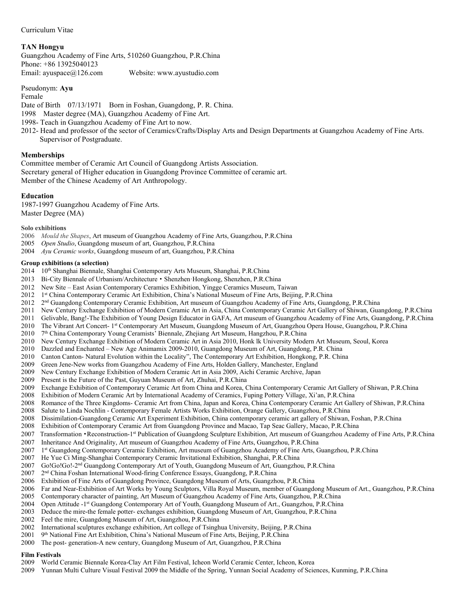Curriculum Vitae

## **TAN Hongyu**

Guangzhou Academy of Fine Arts, 510260 Guangzhou, P.R.China Phone: +86 13925040123 Email: [ayuspace@126.com](mailto:ayuspace@126.com) Website: [www.ayustudio.com](http://www.ayustudio.com)

Pseudonym: **Ayu**

Female

Date of Birth 07/13/1971 Born in Foshan, Guangdong, P. R. China.

- 1998 Master degree (MA), Guangzhou Academy of Fine Art.
- 1998- Teach in Guangzhou Academy of Fine Art to now.
- 2012- Head and professor of the sector of Ceramics/Crafts/Display Arts and Design Departments at Guangzhou Academy of Fine Arts. Supervisor of Postgraduate.

## **Memberships**

Committee member of Ceramic Art Council of Guangdong Artists Association. Secretary general of Higher education in Guangdong Province Committee of ceramic art. Member of the Chinese Academy of Art Anthropology.

## **Education**

1987-1997 Guangzhou Academy of Fine Arts. Master Degree (MA)

**Solo exhibitions**

- 2006 *Mould the Shapes*, Art museum of Guangzhou Academy of Fine Arts, Guangzhou, P.R.China
- 2005 *Open Studio*, Guangdong museum of art,Guangzhou, P.R.China
- 2004 *Ayu Ceramic works*, Guangdong museum of art,Guangzhou, P.R.China

## **Group exhibitions (a selection)**

- 2014 10<sup>th</sup> Shanghai Biennale, Shanghai Contemporary Arts Museum, Shanghai, P.R.China
- 2013 Bi-City Biennale of Urbanism/Architecture Shenzhen·Hongkong, Shenzhen, P.R.China
- 2012 New Site East Asian Contemporary Ceramics Exhibition, Yingge Ceramics Museum, Taiwan
- 2012 1 st China Contemporary Ceramic Art Exhibition, China's National Museum of Fine Arts, Beijing, P.R.China
- 2012 2<sup>nd</sup> Guangdong Contemporary Ceramic Exhibition, Art museum of Guangzhou Academy of Fine Arts, Guangdong, P.R.China
- 
- 2011 New Century Exchange Exhibition of Modern Ceramic Art in Asia, China Contemporary Ceramic Art Gallery of Shiwan, Guangdong, P.R.China<br>2011 Gelivable, Bang!-The Exhibition of Young Design Educator in GAFA, Art museum o 2011 Gelivable, Bang!-The Exhibition of Young Design Educator in GAFA, Art museum of Guangzhou Academy of Fine Arts, Guangdong, P.R.China
- 2010 The Vibrant Art Concert- 1<sup>st</sup> Contemporary Art Museum, Guangdong Museum of Art, Guangzhou Opera House, Guangzhou, P.R.China
- 2010 7 th China Contemporary Young Ceramists' Biennale, Zhejiang Art Museum, Hangzhou, P.R.China
- 2010 New Century Exchange Exhibition of Modern Ceramic Art in Asia 2010, Honk lk University Modern Art Museum, Seoul, Korea
- 2010 Dazzled and Enchanted New Age Animamix 2009-2010,Guangdong Museum of Art, Guangdong, P.R.China
- 2010 Canton Canton- Natural Evolution within the Locality", The Contemporary Art Exhibition, Hongkong, P.R. China
- 2009 Green Jene-New works from Guangzhou Academy of Fine Arts, Holden Gallery, Manchester, England
- 2009 New Century Exchange Exhibition of Modern Ceramic Art in Asia 2009, Aichi Ceramic Archive, Japan
- 2009 Present is the Future of the Past, Guyuan Museum of Art, Zhuhai, P.R.China
- 2009 Exchange Exhibition of Contemporary Ceramic Art from China and Korea, China Contemporary Ceramic Art Gallery of Shiwan, P.R.China
- 2008 Exhibition of Modern Ceramic Art by International Academy of Ceramics, Fuping Pottery Village, Xi'an, P.R.China
- 2008 Romance of the Three Kingdoms- Ceramic Art from China, Japan and Korea,China Contemporary Ceramic Art Gallery of Shiwan, P.R.China
- 2008 Salute to Linda Nochlin Contemporary Female Artists Works Exhibition, Orange Gallery, Guangzhou, P.R.China
- 2008 Dissimilation-Guangdong Ceramic Art Experiment Exhibition, China contemporary ceramic art gallery of Shiwan, Foshan, P.R.China
- 2008 Exhibition of Contemporary Ceramic Art from Guangdong Province and Macao, Tap Seac Gallery, Macao, P.R.China
- 2007 Transformation Reconstruction-1<sup>st</sup> Publication of Guangdong Sculpture Exhibition, Art museum of Guangzhou Academy of Fine Arts, P.R.China
- 2007 Inheritance And Originality, Art museum of Guangzhou Academy of Fine Arts, Guangzhou, P.R.China
- 2007 1 st Guangdong Contemporary Ceramic Exhibition, Art museum of Guangzhou Academy of Fine Arts, Guangzhou, P.R.China
- 2007 He Yue Ci Ming-Shanghai Contemporary Ceramic Invitational Exhibition, Shanghai, P.R.China
- 2007 Go!Go!Go!-2<sup>nd</sup> Guangdong Contemporary Art of Youth, Guangdong Museum of Art, Guangzhou, P.R.China
- 2007 2 nd China Foshan International Wood-firing Conference Essays, Guangdong, P.R.China
- 2006 Exhibition of Fine Arts of Guangdong Province, Guangdong Museum of Arts, Guangzhou, P.R.China
- 2006 Far and Near-Exhibition of Art Works by Young Sculptors, Villa Royal Museum, member of Guangdong Museum of Art., Guangzhou, P.R.China
- 2005 Contemporary character of painting, Art Museum of Guangzhou Academy of Fine Arts, Guangzhou, P.R.China
- 2004 Open Attitude -1 st Guangdong Contemporary Art of Youth, Guangdong Museum of Art., Guangzhou, P.R.China
- 2003 Deduce the mire-the female potter- exchanges exhibition, Guangdong Museum of Art, Guangzhou, P.R.China
- 2002 Feel the mire, Guangdong Museum of Art, Guangzhou, P.R.China
- 2002 International sculptures exchange exhibition, Art college of Tsinghua University, Beijing, P.R.China
- 2001 9<sup>th</sup> National Fine Art Exhibition, China's National Museum of Fine Arts, Beijing, P.R.China
- 2000 The post- generation-A new century, Guangdong Museum of Art, Guangzhou, P.R.China

# **Film Festivals**

- 2009 World Ceramic Biennale Korea-Clay Art Film Festival, Icheon World Ceramic Center, Icheon, Korea
- 2009 Yunnan Multi Culture Visual Festival 2009 the Middle of the Spring, Yunnan Social Academy of Sciences, Kunming, P.R.China